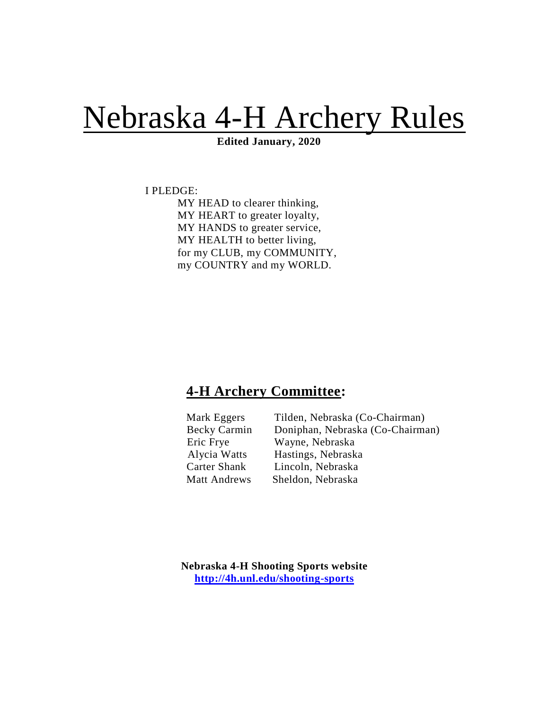# Nebraska 4-H Archery Rules

 **Edited January, 2020**

I PLEDGE:

MY HEAD to clearer thinking, MY HEART to greater loyalty, MY HANDS to greater service, MY HEALTH to better living, for my CLUB, my COMMUNITY, my COUNTRY and my WORLD.

# **4-H Archery Committee:**

| Mark Eggers         | Tilden, Nebraska ( |
|---------------------|--------------------|
| <b>Becky Carmin</b> | Doniphan, Nebrasl  |
| Eric Frye           | Wayne, Nebraska    |
| Alycia Watts        | Hastings, Nebraska |
| <b>Carter Shank</b> | Lincoln, Nebraska  |
| <b>Matt Andrews</b> | Sheldon, Nebraska  |

len, Nebraska (Co-Chairman) iphan, Nebraska (Co-Chairman) yne, Nebraska tings, Nebraska

**Nebraska 4-H Shooting Sports website <http://4h.unl.edu/shooting-sports>**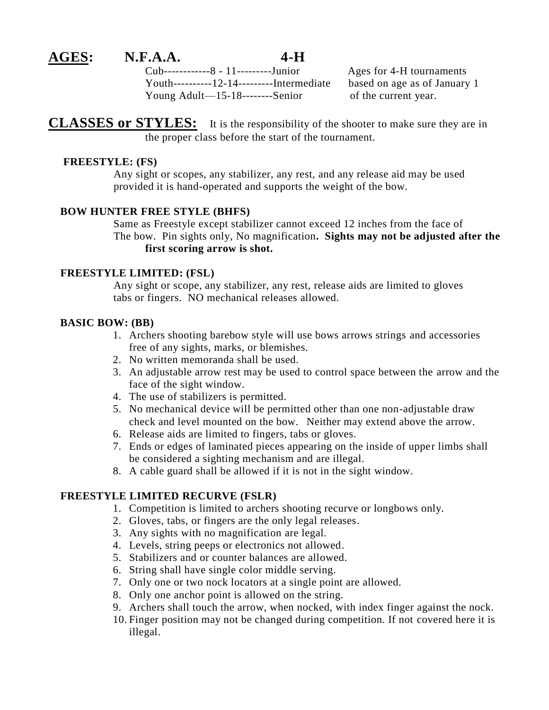### **AGES: N.F.A.A. 4-H**

Cub------------8 - 11---------Junior Ages for 4-H tournaments Youth----------12-14---------Intermediate based on age as of January 1 Young Adult—15-18--------Senior of the current year.

**CLASSES or STYLES:** It is the responsibility of the shooter to make sure they are in the proper class before the start of the tournament.

#### **FREESTYLE: (FS)**

 Any sight or scopes, any stabilizer, any rest, and any release aid may be used provided it is hand-operated and supports the weight of the bow.

#### **BOW HUNTER FREE STYLE (BHFS)**

Same as Freestyle except stabilizer cannot exceed 12 inches from the face of The bow. Pin sights only, No magnification**. Sights may not be adjusted after the first scoring arrow is shot.** 

#### **FREESTYLE LIMITED: (FSL)**

 Any sight or scope, any stabilizer, any rest, release aids are limited to gloves tabs or fingers. NO mechanical releases allowed.

#### **BASIC BOW: (BB)**

- 1. Archers shooting barebow style will use bows arrows strings and accessories free of any sights, marks, or blemishes.
- 2. No written memoranda shall be used.
- 3. An adjustable arrow rest may be used to control space between the arrow and the face of the sight window.
- 4. The use of stabilizers is permitted.
- 5. No mechanical device will be permitted other than one non-adjustable draw check and level mounted on the bow. Neither may extend above the arrow.
- 6. Release aids are limited to fingers, tabs or gloves.
- 7. Ends or edges of laminated pieces appearing on the inside of upper limbs shall be considered a sighting mechanism and are illegal.
- 8. A cable guard shall be allowed if it is not in the sight window.

#### **FREESTYLE LIMITED RECURVE (FSLR)**

- 1. Competition is limited to archers shooting recurve or longbows only.
- 2. Gloves, tabs, or fingers are the only legal releases.
- 3. Any sights with no magnification are legal.
- 4. Levels, string peeps or electronics not allowed.
- 5. Stabilizers and or counter balances are allowed.
- 6. String shall have single color middle serving.
- 7. Only one or two nock locators at a single point are allowed.
- 8. Only one anchor point is allowed on the string.
- 9. Archers shall touch the arrow, when nocked, with index finger against the nock.
- 10. Finger position may not be changed during competition. If not covered here it is illegal.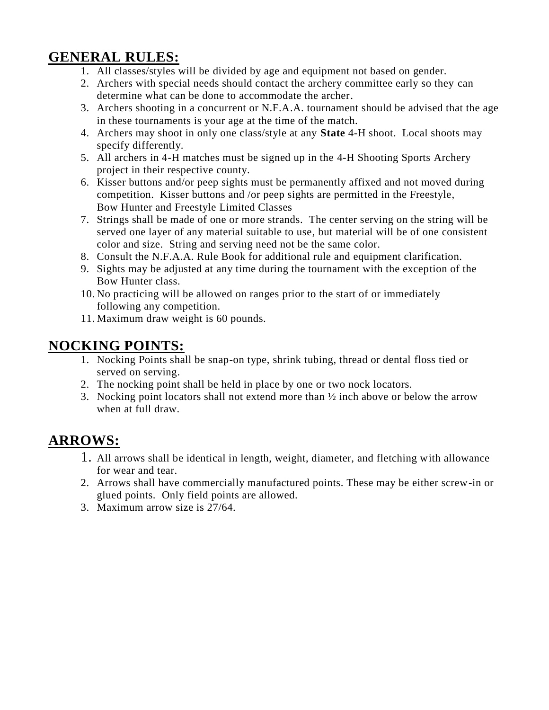# **GENERAL RULES:**

- 1. All classes/styles will be divided by age and equipment not based on gender.
- 2. Archers with special needs should contact the archery committee early so they can determine what can be done to accommodate the archer.
- 3. Archers shooting in a concurrent or N.F.A.A. tournament should be advised that the age in these tournaments is your age at the time of the match.
- 4. Archers may shoot in only one class/style at any **State** 4-H shoot. Local shoots may specify differently.
- 5. All archers in 4-H matches must be signed up in the 4-H Shooting Sports Archery project in their respective county.
- 6. Kisser buttons and/or peep sights must be permanently affixed and not moved during competition. Kisser buttons and /or peep sights are permitted in the Freestyle, Bow Hunter and Freestyle Limited Classes
- 7. Strings shall be made of one or more strands. The center serving on the string will be served one layer of any material suitable to use, but material will be of one consistent color and size. String and serving need not be the same color.
- 8. Consult the N.F.A.A. Rule Book for additional rule and equipment clarification.
- 9. Sights may be adjusted at any time during the tournament with the exception of the Bow Hunter class.
- 10. No practicing will be allowed on ranges prior to the start of or immediately following any competition.
- 11. Maximum draw weight is 60 pounds.

# **NOCKING POINTS:**

- 1. Nocking Points shall be snap-on type, shrink tubing, thread or dental floss tied or served on serving.
- 2. The nocking point shall be held in place by one or two nock locators.
- 3. Nocking point locators shall not extend more than ½ inch above or below the arrow when at full draw.

# **ARROWS:**

- 1. All arrows shall be identical in length, weight, diameter, and fletching with allowance for wear and tear.
- 2. Arrows shall have commercially manufactured points. These may be either screw-in or glued points. Only field points are allowed.
- 3. Maximum arrow size is 27/64.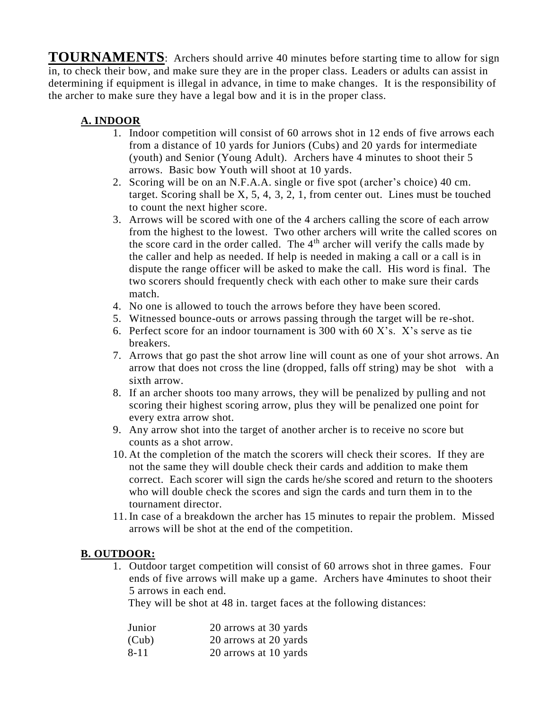**TOURNAMENTS**: Archers should arrive 40 minutes before starting time to allow for sign in, to check their bow, and make sure they are in the proper class. Leaders or adults can assist in determining if equipment is illegal in advance, in time to make changes. It is the responsibility of the archer to make sure they have a legal bow and it is in the proper class.

#### **A. INDOOR**

- 1. Indoor competition will consist of 60 arrows shot in 12 ends of five arrows each from a distance of 10 yards for Juniors (Cubs) and 20 yards for intermediate (youth) and Senior (Young Adult). Archers have 4 minutes to shoot their 5 arrows. Basic bow Youth will shoot at 10 yards.
- 2. Scoring will be on an N.F.A.A. single or five spot (archer's choice) 40 cm. target. Scoring shall be  $X$ , 5, 4, 3, 2, 1, from center out. Lines must be touched to count the next higher score.
- 3. Arrows will be scored with one of the 4 archers calling the score of each arrow from the highest to the lowest. Two other archers will write the called scores on the score card in the order called. The  $4<sup>th</sup>$  archer will verify the calls made by the caller and help as needed. If help is needed in making a call or a call is in dispute the range officer will be asked to make the call. His word is final. The two scorers should frequently check with each other to make sure their cards match.
- 4. No one is allowed to touch the arrows before they have been scored.
- 5. Witnessed bounce-outs or arrows passing through the target will be re-shot.
- 6. Perfect score for an indoor tournament is 300 with 60 X's. X's serve as tie breakers.
- 7. Arrows that go past the shot arrow line will count as one of your shot arrows. An arrow that does not cross the line (dropped, falls off string) may be shot with a sixth arrow.
- 8. If an archer shoots too many arrows, they will be penalized by pulling and not scoring their highest scoring arrow, plus they will be penalized one point for every extra arrow shot.
- 9. Any arrow shot into the target of another archer is to receive no score but counts as a shot arrow.
- 10. At the completion of the match the scorers will check their scores. If they are not the same they will double check their cards and addition to make them correct. Each scorer will sign the cards he/she scored and return to the shooters who will double check the scores and sign the cards and turn them in to the tournament director.
- 11. In case of a breakdown the archer has 15 minutes to repair the problem. Missed arrows will be shot at the end of the competition.

#### **B. OUTDOOR:**

1. Outdoor target competition will consist of 60 arrows shot in three games. Four ends of five arrows will make up a game. Archers have 4minutes to shoot their 5 arrows in each end.

They will be shot at 48 in. target faces at the following distances:

| Junior   | 20 arrows at 30 yards |
|----------|-----------------------|
| (Cub)    | 20 arrows at 20 yards |
| $8 - 11$ | 20 arrows at 10 yards |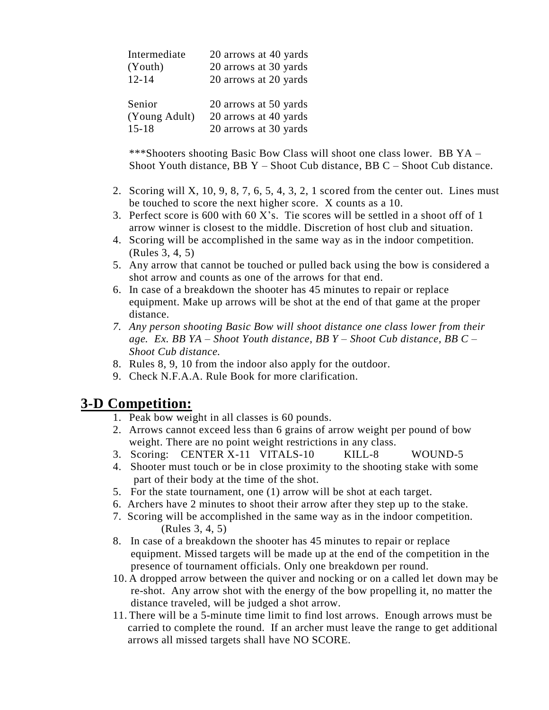| 20 arrows at 40 yards |
|-----------------------|
| 20 arrows at 30 yards |
| 20 arrows at 20 yards |
|                       |
| 20 arrows at 50 yards |
| 20 arrows at 40 yards |
| 20 arrows at 30 yards |
|                       |

\*\*\*Shooters shooting Basic Bow Class will shoot one class lower. BB YA – Shoot Youth distance, BB Y – Shoot Cub distance, BB C – Shoot Cub distance.

- 2. Scoring will X, 10, 9, 8, 7, 6, 5, 4, 3, 2, 1 scored from the center out. Lines must be touched to score the next higher score. X counts as a 10.
- 3. Perfect score is 600 with 60 X's. Tie scores will be settled in a shoot off of 1 arrow winner is closest to the middle. Discretion of host club and situation.
- 4. Scoring will be accomplished in the same way as in the indoor competition. (Rules 3, 4, 5)
- 5. Any arrow that cannot be touched or pulled back using the bow is considered a shot arrow and counts as one of the arrows for that end.
- 6. In case of a breakdown the shooter has 45 minutes to repair or replace equipment. Make up arrows will be shot at the end of that game at the proper distance.
- *7. Any person shooting Basic Bow will shoot distance one class lower from their age. Ex. BB YA – Shoot Youth distance, BB Y – Shoot Cub distance, BB C – Shoot Cub distance.*
- 8. Rules 8, 9, 10 from the indoor also apply for the outdoor.
- 9. Check N.F.A.A. Rule Book for more clarification.

### **3-D Competition:**

- 1. Peak bow weight in all classes is 60 pounds.
- 2. Arrows cannot exceed less than 6 grains of arrow weight per pound of bow weight. There are no point weight restrictions in any class.
- 3. Scoring: CENTER X-11 VITALS-10 KILL-8 WOUND-5
- 4. Shooter must touch or be in close proximity to the shooting stake with some part of their body at the time of the shot.
- 5. For the state tournament, one (1) arrow will be shot at each target.
- 6. Archers have 2 minutes to shoot their arrow after they step up to the stake.
- 7. Scoring will be accomplished in the same way as in the indoor competition. (Rules 3, 4, 5)
- 8. In case of a breakdown the shooter has 45 minutes to repair or replace equipment. Missed targets will be made up at the end of the competition in the presence of tournament officials. Only one breakdown per round.
- 10. A dropped arrow between the quiver and nocking or on a called let down may be re-shot. Any arrow shot with the energy of the bow propelling it, no matter the distance traveled, will be judged a shot arrow.
- 11. There will be a 5-minute time limit to find lost arrows. Enough arrows must be carried to complete the round. If an archer must leave the range to get additional arrows all missed targets shall have NO SCORE.